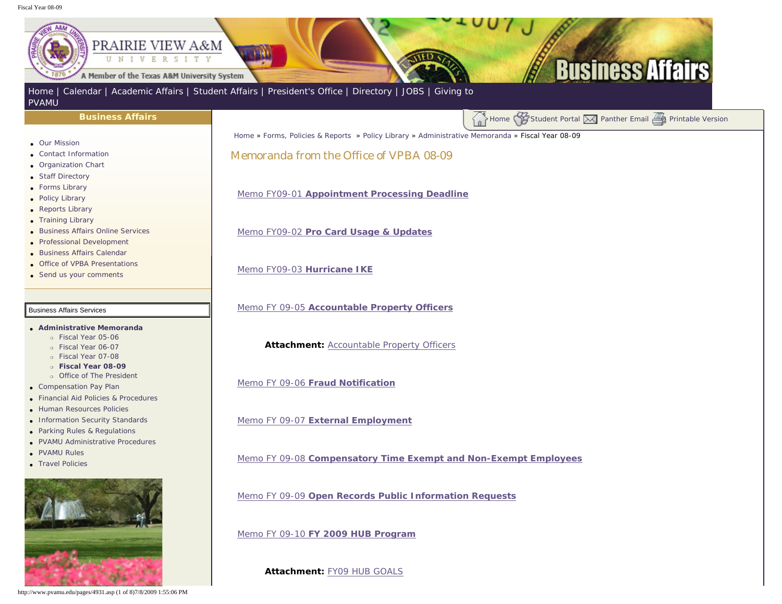## <span id="page-0-0"></span>Fiscal Year 08-09

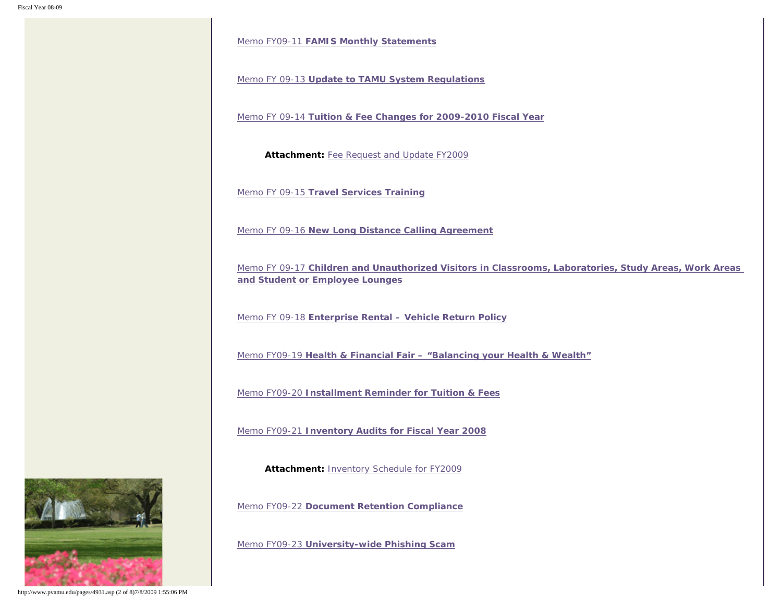Memo FY09-11 **[FAMIS Monthly Statements](http://www.pvamu.edu/Include/Business_affairs/Memo/FY09/VPBA Memo FY09-11  FAMIS Monthly Statments.pdf)**

Memo FY 09-13 **[Update to TAMU System Regulations](http://www.pvamu.edu/Include/Business_affairs/Memo/FY09/VPBA Memo FY 09-13 Update to TAMU System Regulations.pdf)**

Memo FY 09-14 **[Tuition & Fee Changes for 2009-2010 Fiscal Year](http://www.pvamu.edu/Include/Business_affairs/Memo/FY09/VPBA Memo FY 09-14 Tuition & Fee Changes for 2009-2010 Fiscal Year.pdf)**

**Attachment:** [Fee Request and Update FY2009](http://www.pvamu.edu/Include/Business_affairs/Memo/FY09/Fee Request and Update FY2010.xls)

Memo FY 09-15 **[Travel Services Training](http://www.pvamu.edu/Include/Business_affairs/Memo/FY09/VPBA Memo FY 09-15 Travel Services Training.pdf)**

Memo FY 09-16 **[New Long Distance Calling Agreement](http://www.pvamu.edu/Include/Business_affairs/Memo/FY09/VPBA Memo FY 09-16 New Long Distance Calling Agreement.pdf)**

Memo FY 09-17 **[Children and Unauthorized Visitors in Classrooms, Laboratories, Study Areas, Work Areas](http://www.pvamu.edu/Include/Business_affairs/Memo/FY09/VPBA Memo FY 09-17 Children and Unauthorized Visitors in Classroom Laboratories Study Areas Work Areas and Student or Employee Lounges.pdf) [and Student or Employee Lounges](http://www.pvamu.edu/Include/Business_affairs/Memo/FY09/VPBA Memo FY 09-17 Children and Unauthorized Visitors in Classroom Laboratories Study Areas Work Areas and Student or Employee Lounges.pdf)**

Memo FY 09-18 **[Enterprise Rental – Vehicle Return Policy](http://www.pvamu.edu/Include/Business_affairs/Memo/FY09/VPBA Memo FY 09-18 Enterprise Rental - Vehicle Return Policy.pdf)**

Memo FY09-19 **[Health & Financial Fair – "Balancing your Health & Wealth"](http://www.pvamu.edu/Include/Business_affairs/Memo/FY09/VPBA Memo FY 09-19 Health & Financial Fair - Balancing your Health & Wealth.pdf)**

Memo FY09-20 **[Installment Reminder for Tuition & Fees](http://www.pvamu.edu/Include/Business_affairs/Memo/FY09/VPBA Memo FY 09-20 Installment Due for Tuition & Fees.pdf)**

Memo FY09-21 **[Inventory Audits for Fiscal Year 2008](http://www.pvamu.edu/Include/Business_affairs/Memo/FY09/VPBA Memo FY 09-21  Inventory Audits for Fiscal Year 2008.pdf)**

**Attachment:** [Inventory Schedule for FY2009](http://www.pvamu.edu/Include/Business_affairs/Memo/FY09/VPBA FY 09-21 Attachment Inventory Schedule for FY2009.pdf)

Memo FY09-22 **[Document Retention Compliance](http://www.pvamu.edu/Include/Business_affairs/Memo/FY09/VPBA Memo FY 09-22 Document Retention Compliance.pdf)**

Memo FY09-23 **[University-wide Phishing Scam](http://www.pvamu.edu/Include/Business_affairs/Memo/FY09/VPBA Memo FY 09-23 University-wide Phishing Scam.pdf)**



http://www.pvamu.edu/pages/4931.asp (2 of 8)7/8/2009 1:55:06 PM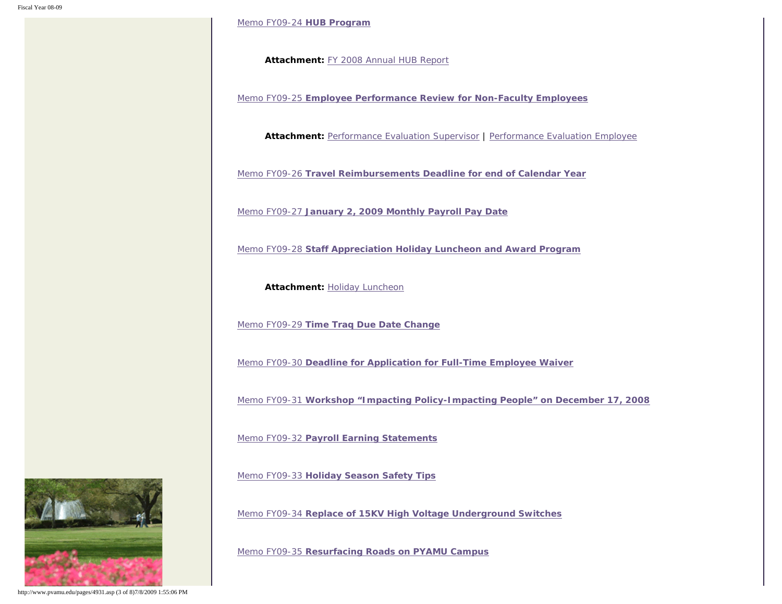[Memo FY09-24](http://www.pvamu.edu/Include/Business_affairs/Memo/FY09/VPBA Memo FY 09-24  HUB Program.pdf) **HUB Program**

**Attachment:** [FY 2008 Annual HUB Report](http://www.pvamu.edu/Include/Business_affairs/Memo/FY09/VPBA Attachment 09-24 FY 2008 Annual HUB Report.pdf)

Memo FY09-25 **[Employee Performance Review for Non-Faculty Employees](http://www.pvamu.edu/Include/Business_affairs/Memo/FY09/VPBA Memo FY 09-25 Annual Evaluations.pdf)**

**Attachment:** [Performance Evaluation Supervisor](http://www.pvamu.edu/Include/Business_affairs/Memo/FY09/VPBA FY 09-25 Att1 Performance Evaluation Supervisor.doc) | [Performance Evaluation Employee](http://www.pvamu.edu/Include/Business_affairs/Memo/FY09/VPBA FY 09-25 Att2 Performance Evaluation Employee.doc)

Memo FY09-26 **[Travel Reimbursements Deadline for end of Calendar Year](http://www.pvamu.edu/Include/Business_affairs/Memo/FY09/VPBA Memo FY 09-26 Travel Reimbursement Deadline for end of Calendar Year.pdf)**

Memo FY09-27 **[January 2, 2009 Monthly Payroll Pay Date](http://www.pvamu.edu/Include/Business_affairs/Memo/FY09/VPBA Memo FY 09-27 January 2 2009 Monthly Payroll Pay Date.pdf)**

Memo FY09-28 **[Staff Appreciation Holiday Luncheon and Award Program](http://www.pvamu.edu/Include/Business_affairs/Memo/FY09/VPBA Memo FY 09-28 Staff Appreciation Holiday Luncheon & Award Program.pdf)**

**Attachment: [Holiday Luncheon](http://www.pvamu.edu/Include/Business_affairs/Memo/FY09/VPBA FY 09-28 Holiday Luncheon Attachment.pdf)** 

Memo FY09-29 **[Time Traq Due Date Change](http://www.pvamu.edu/Include/Business_affairs/Memo/FY09/VPBA Memo FY 09-29 Time Traq Due Date Change.pdf)**

Memo FY09-30 **[Deadline for Application for Full-Time Employee Waiver](http://www.pvamu.edu/Include/Business_affairs/Memo/FY09/VPBA Memo FY 09-30 Deadline for Application for Full-time Employee Waiver.pdf)**

Memo FY09-31 **[Workshop "Impacting Policy-Impacting People" on December 17, 2008](http://www.pvamu.edu/Include/Business_affairs/Memo/FY09/VPBA Memo FY 09-31 Workshop - December 17, 2008.pdf)**

Memo FY09-32 **[Payroll Earning Statements](http://www.pvamu.edu/Include/Business_affairs/Memo/FY09/VPBA Memo FY 09-32 Payroll Earning Statements.pdf)**

Memo FY09-33 **[Holiday Season Safety Tips](http://www.pvamu.edu/Include/Business_affairs/Memo/FY09/VPBA Memo FY 09-33  Holiday Season Safety Tips.pdf)**

Memo FY09-34 **[Replace of 15KV High Voltage Underground Switches](http://www.pvamu.edu/Include/Business_affairs/Memo/FY09/VPBA Memo FY 09-34  Replacement of 15KV High Voltage Switches.pdf)**

Memo FY09-35 **[Resurfacing Roads on PYAMU Campus](http://www.pvamu.edu/Include/Business_affairs/Memo/FY09/VPBA Memo FY 09-35 Resurfacing Roads on PVAMU Campus.pdf)**



http://www.pvamu.edu/pages/4931.asp (3 of 8)7/8/2009 1:55:06 PM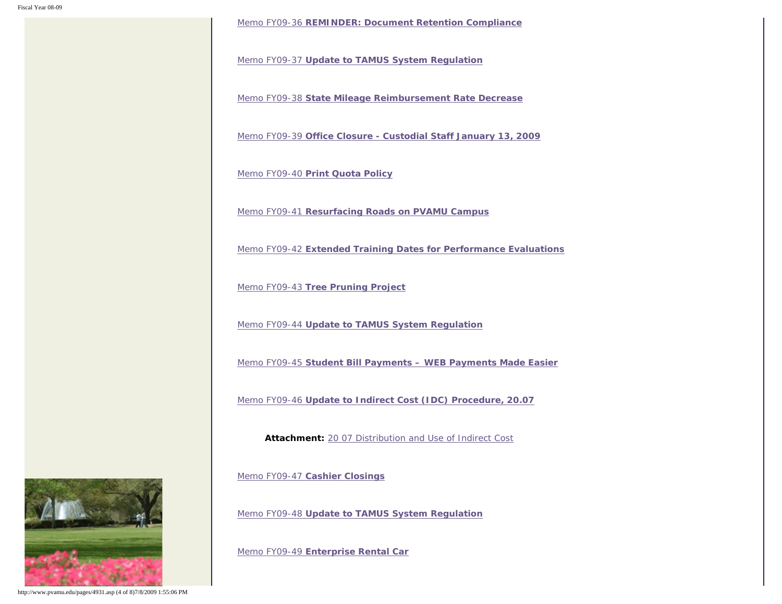Memo FY09-36 **[REMINDER: Document Retention Compliance](http://www.pvamu.edu/Include/Business_affairs/Memo/FY09/VPBA Memo FY 09-36Document Retention Compliance.pdf)**

Memo FY09-37 **[Update to TAMUS System Regulation](http://www.pvamu.edu/Include/Business_affairs/Memo/FY09/VPBA Memo FY 09-37 Update to TAMU System Regulations.pdf)**

Memo FY09-38 **[State Mileage Reimbursement Rate Decrease](http://www.pvamu.edu/Include/Business_affairs/Memo/FY09/VPBA Memo FY 09-38 State Mileage Reimbursement  Rate Decrease.pdf)**

Memo FY09-39 **[Office Closure - Custodial Staff January 13, 2009](http://www.pvamu.edu/Include/Business_affairs/Memo/FY09/VPBA Memo FY 09-39 Office Closure - Custodial Staff Juanuary 13, 2009.pdf)**

Memo FY09-40 **[Print Quota Policy](http://www.pvamu.edu/Include/Business_affairs/Memo/FY09/VPBA Memo FY 09-40 Print Quota Policy.pdf)**

Memo FY09-41 **[Resurfacing Roads on PVAMU Campus](http://www.pvamu.edu/Include/Business_affairs/Memo/FY09/VPBA Memo FY 09-41 Resurfacing Roads on PVAMU Campus Reminder.pdf)**

Memo FY09-42 **[Extended Training Dates for Performance Evaluations](http://www.pvamu.edu/Include/Business_affairs/Memo/FY09/VPBA Memo FY 09-42  Extended Training Dates for Performance Evaluations.pdf)**

Memo FY09-43 **[Tree Pruning Project](http://www.pvamu.edu/Include/Business_affairs/Memo/FY09/VPBA Memo FY 09-43 Tree Pruning Project.pdf)**

Memo FY09-44 **[Update to TAMUS System Regulation](http://www.pvamu.edu/Include/Business_affairs/Memo/FY09/VPBA Memo FY 09-44 Update to TAMU System Regulations.pdf)**

Memo FY09-45 **[Student Bill Payments – WEB Payments Made Easier](http://www.pvamu.edu/Include/Business_affairs/Memo/FY09/VPBA Memo FY 09-45 Student Bill Payments - WEB Payments Made Easier.pdf)**

Memo FY09-46 **[Update to Indirect Cost \(IDC\) Procedure, 20.07](http://www.pvamu.edu/Include/Business_affairs/Memo/FY09/VPBA Memo FY 09-46 Update to Indirect Cost (IDC) Procedures, 20.07.pdf)**

**Attachment:** [20 07 Distribution and Use of Indirect Cost](http://www.pvamu.edu/Include/Business_affairs/Memo/FY09/20 07 Distribution and Use of Indirect Cost.pdf)

Memo FY09-47 **[Cashier Closings](http://www.pvamu.edu/Include/Business_affairs/Memo/FY09/VPBA Memo FY 09-47 Cashier Closings.pdf)**

Memo FY09-48 **[Update to TAMUS System Regulation](http://www.pvamu.edu/Include/Business_affairs/Memo/FY09/VPBA Memo FY 09-48 Update to TAMU System Regulations.pdf)**

Memo FY09-49 **[Enterprise Rental Car](http://www.pvamu.edu/Include/Business_affairs/Memo/FY09/VPBA Memo FY 09-49 Enterprise Rental Car.pdf)**



http://www.pvamu.edu/pages/4931.asp (4 of 8)7/8/2009 1:55:06 PM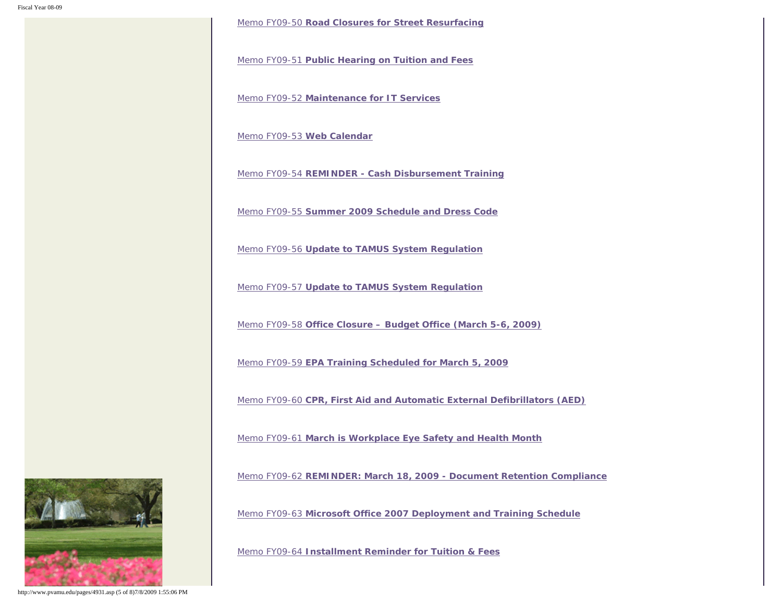Memo FY09-50 **[Road Closures for Street Resurfacing](http://www.pvamu.edu/Include/Business_affairs/Memo/FY09/VPBA Memo FY 09-50 Road Closure for Street Resurfacing.pdf)**

Memo FY09-51 **[Public Hearing on Tuition and Fees](http://www.pvamu.edu/Include/Business_affairs/Memo/FY09/VPBA Memo FY 09-51 Tuition and Fee Public Hearing-February 17, 2009.pdf)**

Memo FY09-52 **[Maintenance for IT Services](http://www.pvamu.edu/Include/Business_affairs/Memo/FY09/VPBA Memo FY 09-52 Maintenance for IT Services.pdf)**

[Memo FY09-53](http://www.pvamu.edu/Include/Business_affairs/Memo/FY09/VPBA Memo FY 09-53 Web Calendar.pdf) **Web Calendar**

Memo FY09-54 **[REMINDER - Cash Disbursement Training](http://www.pvamu.edu/Include/Business_affairs/Memo/FY09/VPBA Memo FY 09-54 Cash Disbursement Trainings.pdf)**

Memo FY09-55 **[Summer 2009 Schedule and Dress Code](http://www.pvamu.edu/Include/Business_affairs/Memo/FY09/VPBA Memo FY 09-55 Summer 2009 Schedule and Dress Code.pdf)**

Memo FY09-56 **[Update to TAMUS System Regulation](http://www.pvamu.edu/Include/Business_affairs/Memo/FY09/VPBA Memo FY 09-56 Update to TAMU System Regulation.pdf)**

Memo FY09-57 **[Update to TAMUS System Regulation](http://www.pvamu.edu/Include/Business_affairs/Memo/FY09/VPBA Memo FY 09-57 Update to TAMU System Regulation.pdf)**

Memo FY09-58 **[Office Closure – Budget Office \(March 5-6, 2009\)](http://www.pvamu.edu/Include/Business_affairs/Memo/FY09/VPBA Memo FY 09-58 Budget Office - Closed March 5&6, 2009.pdf)**

Memo FY09-59 **[EPA Training Scheduled for March 5, 2009](http://www.pvamu.edu/Include/Business_affairs/Memo/FY09/VPBA Memo FY 09-59 EPA Training Scheduled for March 6, 2009.pdf)**

Memo FY09-60 **[CPR, First Aid and Automatic External Defibrillators \(AED\)](http://www.pvamu.edu/Include/Business_affairs/Memo/FY09/VPBA Memo FY 09-60 CPR, First Aid and Automatic External Defibulators (AED).pdf)**

Memo FY09-61 **[March is Workplace Eye Safety and Health Month](http://www.pvamu.edu/Include/Business_affairs/Memo/FY09/VPBA Memo FY 09-61 March is Workplace Eye Safety and Health Month.pdf)**

Memo FY09-62 **[REMINDER: March 18, 2009 - Document Retention Compliance](http://www.pvamu.edu/Include/Business_affairs/Memo/FY09/VPBA Memo FY 09-62 REMINDER March 18, 2009 Document Retention Compliance.pdf)**

Memo FY09-63 **[Microsoft Office 2007 Deployment and Training Schedule](http://www.pvamu.edu/Include/Business_affairs/Memo/FY09/VPBA Memo FY 09-63 Office 2007 Deployment and Training Schedule.pdf)**

Memo FY09-64 **[Installment Reminder for Tuition & Fees](http://www.pvamu.edu/Include/Business_affairs/Memo/FY09/VPBA Memo FY 09-64 Installment Reminder for Tuition and Fees.pdf)**



http://www.pvamu.edu/pages/4931.asp (5 of 8)7/8/2009 1:55:06 PM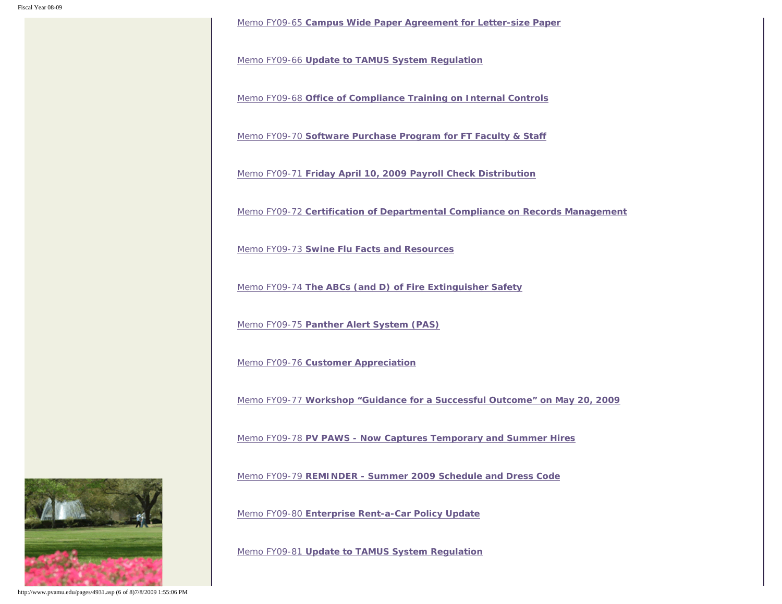Memo FY09-65 **[Campus Wide Paper Agreement for Letter-size Paper](http://www.pvamu.edu/Include/Business_affairs/Memo/FY09/VPBA Memo FY 09-65 Campus-wide Paper Agreement for Letter-size Paper.pdf)**

Memo FY09-66 **[Update to TAMUS System Regulation](http://www.pvamu.edu/Include/Business_affairs/Memo/FY09/VPBA Memo FY 09-66 Update to TAMU System Regulation.pdf)**

Memo FY09-68 **[Office of Compliance Training on Internal Controls](http://www.pvamu.edu/Include/Business_affairs/Memo/FY09/VPBA Memo FY 09-68 Internal Control Training.pdf)**

Memo FY09-70 **[Software Purchase Program for FT Faculty & Staff](http://www.pvamu.edu/Include/Business_affairs/Memo/FY09/VPBA Memo FY 09-70 Software Purchase Program for FT Faculty Staff.pdf)**

Memo FY09-71 **[Friday April 10, 2009 Payroll Check Distribution](http://www.pvamu.edu/Include/Business_affairs/Memo/FY09/VPBA Memo FY 09-71 Friday, April 10 Payroll Check Distribution.pdf)**

Memo FY09-72 **[Certification of Departmental Compliance on Records Management](http://www.pvamu.edu/Include/Business_affairs/Memo/FY09/VPBA Memo FY 09-72 Certification of Departmental Compliance on Records Management.pdf)**

Memo FY09-73 **[Swine Flu Facts and Resources](http://www.pvamu.edu/Include/Business_affairs/Memo/FY09/VPBA Memo Fy 09-73 Safety Tips _Swine Flu.pdf)**

Memo FY09-74 **[The ABCs \(and D\) of Fire Extinguisher Safety](http://www.pvamu.edu/Include/Business_affairs/Memo/FY09/VPBA Memo FY 09-74 Safety Tips _ Fire Extinguishers.pdf)**

Memo FY09-75 **[Panther Alert System \(PAS\)](http://www.pvamu.edu/Include/Business_affairs/Memo/FY09/VPBA Memo FY 09-75 Safety Tips _ Panther Alert System.pdf)**

Memo FY09-76 **[Customer Appreciation](http://www.pvamu.edu/Include/Business_affairs/Memo/FY09/VPBA Memo FY 09-76 Customer Appreciation Day - May 7, 2009.pdf)**

Memo FY09-77 **[Workshop "Guidance for a Successful Outcome" on May 20, 2009](http://www.pvamu.edu/Include/Business_affairs/Memo/FY09/VPBA Memo FY 09-77  Workshp Guidance for a Successful Outcome on May 20, 2009.pdf)**

Memo FY09-78 **[PV PAWS - Now Captures Temporary and Summer Hires](http://www.pvamu.edu/Include/Business_affairs/Memo/FY09/VPBA Memo FY 09-78 PV PAWS Now CapturesTemporary and Summer Hires.pdf)**

Memo FY09-79 **[REMINDER - Summer 2009 Schedule and Dress Code](http://www.pvamu.edu/Include/Business_affairs/Memo/FY09/VPBA Memo FY 09-79 Reminder - Summer 2009 Schedule and Dress Code.pdf)**

Memo FY09-80 **[Enterprise Rent-a-Car Policy Update](http://www.pvamu.edu/Include/Business_affairs/Memo/FY09/VPBA Memo FY 09-80 Enterprise Rental Updates for PVAMU.pdf)**

Memo FY09-81 **[Update to TAMUS System Regulation](http://www.pvamu.edu/Include/Business_affairs/Memo/FY09/VPBA Memo FY 09-81 Update to TAMU System Regulation.pdf)**



http://www.pvamu.edu/pages/4931.asp (6 of 8)7/8/2009 1:55:06 PM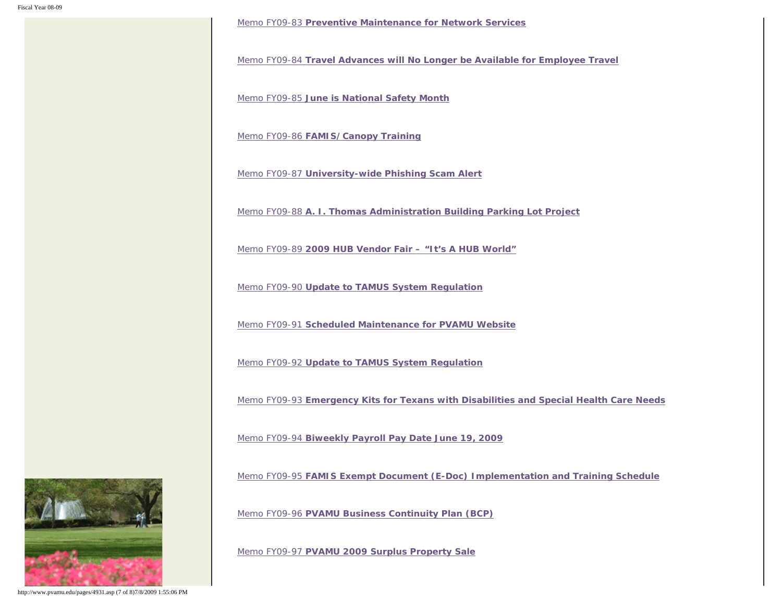Memo FY09-83 **[Preventive Maintenance for Network Services](http://www.pvamu.edu/Include/Business_affairs/Memo/FY09/VPBA Memo FY 09-83 Preventive Maintenance for Network Services.pdf)**

Memo FY09-84 **[Travel Advances will No Longer be Available for Employee Travel](http://www.pvamu.edu/Include/Business_affairs/Memo/FY09/VPBA Memo FY 09-84 Travel Advances for Employee Travel.pdf)**

Memo FY09-85 **[June is National Safety Month](http://www.pvamu.edu/Include/Business_affairs/Memo/FY09/VPBA Memo FY 09-85 June is National Safety Mode.pdf)**

Memo FY09-86 **[FAMIS/Canopy Training](http://www.pvamu.edu/Include/Business_affairs/Memo/FY09/VPBA Memo FY 09-86 Famis-Canopy Training.pdf)**

Memo FY09-87 **[University-wide Phishing Scam Alert](http://www.pvamu.edu/Include/Business_affairs/Memo/FY09/VPBA Memo FY 09-87 University-wide Phishing Scam Alert.pdf)**

Memo FY09-88 **[A. I. Thomas Administration Building Parking Lot Project](http://www.pvamu.edu/Include/Business_affairs/Memo/FY09/VPBA Memo FY 09-88 A. I. Thomas Administration Building Parking Lot Project.pdf)**

Memo FY09-89 **[2009 HUB Vendor Fair – "It's A HUB World"](http://www.pvamu.edu/Include/Business_affairs/Memo/FY09/VPBA Memo FY 09-89  2009 HUB Vendor Fair.pdf)**

Memo FY09-90 **[Update to TAMUS System Regulation](http://www.pvamu.edu/Include/Business_affairs/Memo/FY09/VPBA Memo FY 09-90 Update to TAMU System Regulations.pdf)**

Memo FY09-91 **[Scheduled Maintenance for PVAMU Website](http://www.pvamu.edu/Include/Business_affairs/Memo/FY09/VPBA Memo FY 09-91 Scheduled Maintenace for PVAMU Website.pdf)**

Memo FY09-92 **[Update to TAMUS System Regulation](http://www.pvamu.edu/Include/Business_affairs/Memo/FY09/VPBA Memo FY 09-92 Update to TAMU System Regulation.pdf)**

Memo FY09-93 **[Emergency Kits for Texans with Disabilities and Special Health Care Needs](http://www.pvamu.edu/Include/Business_affairs/Memo/FY09/VPBA Memo FY 09-93 Emergency Kits for Disabled and Special Health Needs.pdf)**

Memo FY09-94 **[Biweekly Payroll Pay Date June 19, 2009](http://www.pvamu.edu/Include/Business_affairs/Memo/FY09/VPBA Memo FY 09-94  Biweekly Payroll Pay Date June 19, 2009.pdf)**

Memo FY09-95 **[FAMIS Exempt Document \(E-Doc\) Implementation and Training Schedule](http://www.pvamu.edu/Include/Business_affairs/Memo/FY09/VPBA Memo FY 09-95 FAMIS Exempt Document (E-Doc) Implementation & Training Schedule.pdf)**

Memo FY09-96 **[PVAMU Business Continuity Plan \(BCP\)](http://www.pvamu.edu/Include/Business_affairs/Memo/FY09/VPBA Memo FY 09-96 PVAMU Business Continuity Plan (BCP).pdf)**

Memo FY09-97 **[PVAMU 2009 Surplus Property Sale](http://www.pvamu.edu/Include/Business_affairs/Memo/FY09/VPBA Memo FY 09-97 PVAMU 2009 Surplus Property Sale.pdf)**



http://www.pvamu.edu/pages/4931.asp (7 of 8)7/8/2009 1:55:06 PM